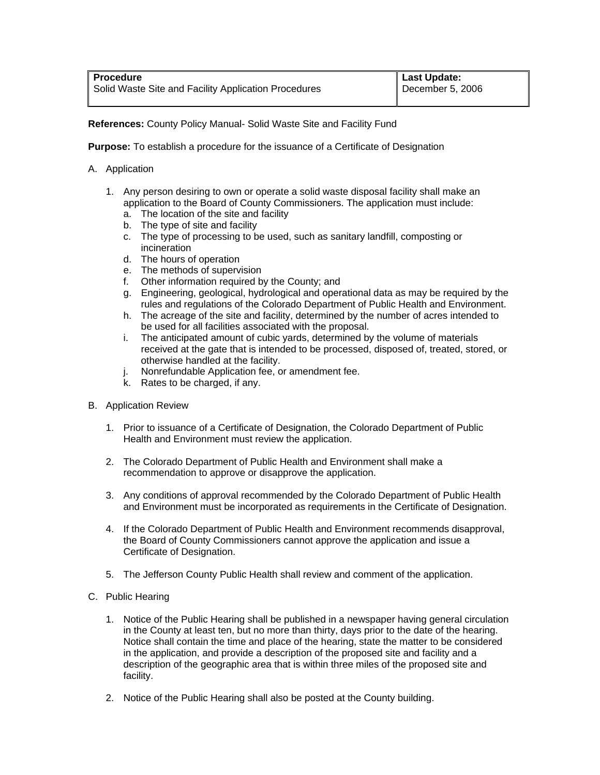**References:** County Policy Manual- Solid Waste Site and Facility Fund

**Purpose:** To establish a procedure for the issuance of a Certificate of Designation

- A. Application
	- 1. Any person desiring to own or operate a solid waste disposal facility shall make an application to the Board of County Commissioners. The application must include:
		- a. The location of the site and facility
		- b. The type of site and facility
		- c. The type of processing to be used, such as sanitary landfill, composting or incineration
		- d. The hours of operation
		- e. The methods of supervision
		- f. Other information required by the County; and
		- g. Engineering, geological, hydrological and operational data as may be required by the rules and regulations of the Colorado Department of Public Health and Environment.
		- h. The acreage of the site and facility, determined by the number of acres intended to be used for all facilities associated with the proposal.
		- i. The anticipated amount of cubic yards, determined by the volume of materials received at the gate that is intended to be processed, disposed of, treated, stored, or otherwise handled at the facility.
		- j. Nonrefundable Application fee, or amendment fee.
		- k. Rates to be charged, if any.
- B. Application Review
	- 1. Prior to issuance of a Certificate of Designation, the Colorado Department of Public Health and Environment must review the application.
	- 2. The Colorado Department of Public Health and Environment shall make a recommendation to approve or disapprove the application.
	- 3. Any conditions of approval recommended by the Colorado Department of Public Health and Environment must be incorporated as requirements in the Certificate of Designation.
	- 4. If the Colorado Department of Public Health and Environment recommends disapproval, the Board of County Commissioners cannot approve the application and issue a Certificate of Designation.
	- 5. The Jefferson County Public Health shall review and comment of the application.
- C. Public Hearing
	- 1. Notice of the Public Hearing shall be published in a newspaper having general circulation in the County at least ten, but no more than thirty, days prior to the date of the hearing. Notice shall contain the time and place of the hearing, state the matter to be considered in the application, and provide a description of the proposed site and facility and a description of the geographic area that is within three miles of the proposed site and facility.
	- 2. Notice of the Public Hearing shall also be posted at the County building.